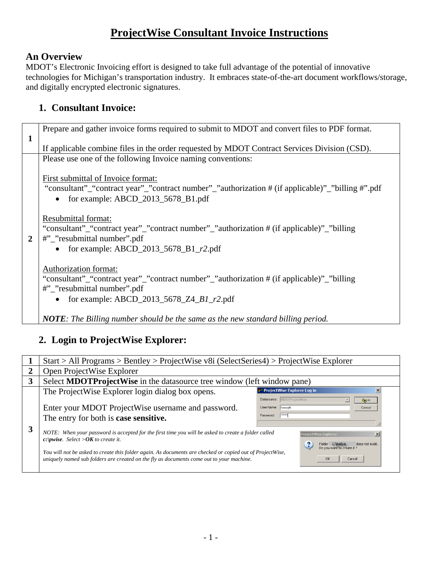# **ProjectWise Consultant Invoice Instructions**

#### **An Overview**

MDOT's Electronic Invoicing effort is designed to take full advantage of the potential of innovative technologies for Michigan's transportation industry. It embraces state-of-the-art document workflows/storage, and digitally encrypted electronic signatures.

## **1. Consultant Invoice:**

|   | Prepare and gather invoice forms required to submit to MDOT and convert files to PDF format.                                                                                                               |  |  |  |  |  |  |
|---|------------------------------------------------------------------------------------------------------------------------------------------------------------------------------------------------------------|--|--|--|--|--|--|
| 1 |                                                                                                                                                                                                            |  |  |  |  |  |  |
|   | If applicable combine files in the order requested by MDOT Contract Services Division (CSD).                                                                                                               |  |  |  |  |  |  |
|   | Please use one of the following Invoice naming conventions:                                                                                                                                                |  |  |  |  |  |  |
|   | First submittal of Invoice format:<br>"consultant"_"contract year"_"contract number"_"authorization # (if applicable)"_"billing #".pdf<br>• for example: $ABCD_2013_5678_B1.pdf$                           |  |  |  |  |  |  |
| 2 | Resubmittal format:<br>"consultant"_"contract year"_"contract number"_"authorization # (if applicable)"_"billing<br>#"_"resubmittal number".pdf<br>• for example: $ABCD_2013_5678_B1_r2.pdf$               |  |  |  |  |  |  |
|   | Authorization format:<br>"consultant"_"contract year"_"contract number"_"authorization # (if applicable)"_"billing<br>#"_"resubmittal number".pdf<br>for example: ABCD_2013_5678_Z4_B1_r2.pdf<br>$\bullet$ |  |  |  |  |  |  |
|   | <b>NOTE</b> : The Billing number should be the same as the new standard billing period.                                                                                                                    |  |  |  |  |  |  |

## **2. Login to ProjectWise Explorer:**

|   | $Start > All Programs > Bentley > ProjectWise v8i (SelectSeries4) > ProjectWise Explorer$                                                                                                                                                          |                                                                        |  |  |  |
|---|----------------------------------------------------------------------------------------------------------------------------------------------------------------------------------------------------------------------------------------------------|------------------------------------------------------------------------|--|--|--|
| 2 | Open ProjectWise Explorer                                                                                                                                                                                                                          |                                                                        |  |  |  |
| 3 | Select <b>MDOTProjectWise</b> in the datasource tree window (left window pane)                                                                                                                                                                     |                                                                        |  |  |  |
|   | The ProjectWise Explorer login dialog box opens.                                                                                                                                                                                                   | ProjectWise Explorer Log in<br>$\times$<br>Datasource: MDOTProjectWise |  |  |  |
|   | Enter your MDOT ProjectWise username and password.<br>The entry for both is <b>case sensitive.</b>                                                                                                                                                 | Ling in<br>User Name: hoveyh<br>Cancel<br>  <br>Password:              |  |  |  |
| 3 | NOTE: When your password is accepted for the first time you will be asked to create a folder called<br><b>ProjectWise Explorer</b><br>$\mathbf{x}$<br>c: <i>pwise.</i> Select > $OK$ to create it.<br>Folder c:\pwise<br>does not exist            |                                                                        |  |  |  |
|   | Do you want to create it?<br>You will not be asked to create this folder again. As documents are checked or copied out of ProjectWise,<br>uniquely named sub folders are created on the fly as documents come out to your machine.<br>OK<br>Cancel |                                                                        |  |  |  |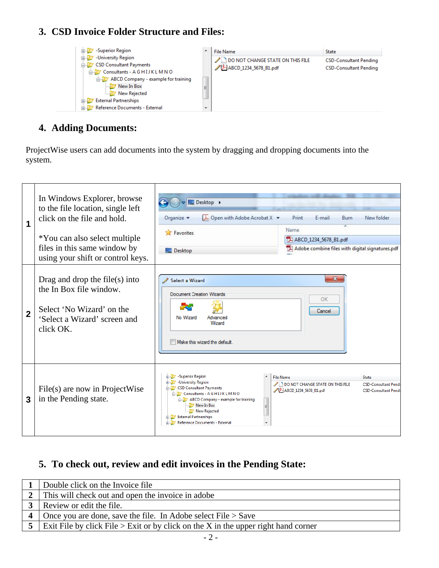### **3. CSD Invoice Folder Structure and Files:**



#### **4. Adding Documents:**

ProjectWise users can add documents into the system by dragging and dropping documents into the system.

| 1              | In Windows Explorer, browse<br>to the file location, single left<br>click on the file and hold.<br>*You can also select multiple<br>files in this same window by<br>using your shift or control keys. | Desktop ><br>$\lambda$ Open with Adobe Acrobat X $\blacktriangleright$<br>Print<br>F-mail<br>Organize v<br>New folder<br><b>Burn</b><br>Name<br>Favorites<br>ABCD_1234_5678_B1.pdf<br>Adobe combine files with digital signatures.pdf<br>Desktop                                                                                                                            |                                                            |
|----------------|-------------------------------------------------------------------------------------------------------------------------------------------------------------------------------------------------------|-----------------------------------------------------------------------------------------------------------------------------------------------------------------------------------------------------------------------------------------------------------------------------------------------------------------------------------------------------------------------------|------------------------------------------------------------|
| $\overline{2}$ | Drag and drop the file $(s)$ into<br>the In Box file window.<br>Select 'No Wizard' on the<br>'Select a Wizard' screen and<br>click OK.                                                                | $\mathbf{x}$<br>Select a Wizard<br><b>Document Creation Wizards</b><br>OK<br>Cancel<br>No Wizard<br>Advanced<br>Wizard<br>Make this wizard the default.                                                                                                                                                                                                                     |                                                            |
| 3              | File(s) are now in ProjectWise<br>in the Pending state.                                                                                                                                               | <b>ELECT</b> - Superior Region<br><b>File Name</b><br><b>State</b><br><b>ELEV</b> - University Region<br>DO NOT CHANGE STATE ON THIS FILE<br><b>E-V</b> CSD Consultant Payments<br>ABCD 1234 5678 B1.pdf<br>Consultants - A G HIJ K L M N O<br>ABCD Company - example for training<br>New In Box<br>New Rejected<br>External Partnerships<br>Reference Documents - External | <b>CSD-Consultant Pendi</b><br><b>CSD-Consultant Pendi</b> |

## **5. To check out, review and edit invoices in the Pending State:**

| Double click on the Invoice file                                                     |  |  |
|--------------------------------------------------------------------------------------|--|--|
| This will check out and open the invoice in adobe                                    |  |  |
| Review or edit the file.                                                             |  |  |
| Once you are done, save the file. In Adobe select $File > Save$                      |  |  |
| Exit File by click File $>$ Exit or by click on the X in the upper right hand corner |  |  |
| $-2-$                                                                                |  |  |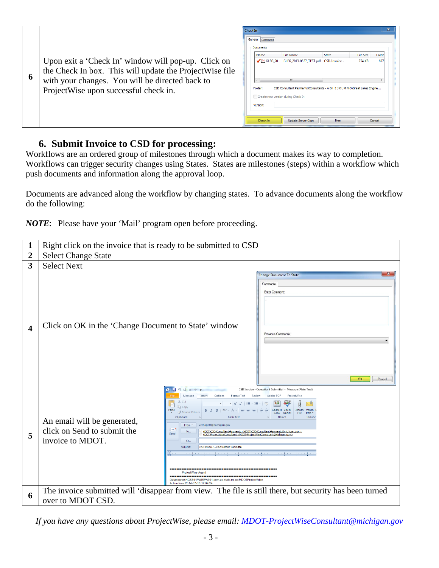|   |                                                                                                                                                                                                             | Check In<br>General Comment                                                                |                                                                                                                                                                                     |                      |                            |                        |
|---|-------------------------------------------------------------------------------------------------------------------------------------------------------------------------------------------------------------|--------------------------------------------------------------------------------------------|-------------------------------------------------------------------------------------------------------------------------------------------------------------------------------------|----------------------|----------------------------|------------------------|
| O | Upon exit a 'Check In' window will pop-up. Click on<br>the Check In box. This will update the Project Wise file<br>with your changes. You will be directed back to<br>ProjectWise upon successful check in. | Documents<br>Name<br>Folder:<br>Create new version during Check In<br>Version:<br>Check In | <b>File Name</b><br>GLEG_20 GLEG_2013-0527_TEST.pdf CSD-Invoice -<br>Ш<br>CSD Consultant Payments\Consultants - A G H I J K L M N O\Great Lakes Engine<br><b>Update Server Copy</b> | <b>State</b><br>Free | <b>File Size</b><br>754 KB | Folde<br>697<br>Cancel |

#### **6. Submit Invoice to CSD for processing:**

Workflows are an ordered group of milestones through which a document makes its way to completion. Workflows can trigger security changes using States. States are milestones (steps) within a workflow which push documents and information along the approval loop.

Documents are advanced along the workflow by changing states. To advance documents along the workflow do the following:

*NOTE*: Please have your 'Mail' program open before proceeding.

|                         | Right click on the invoice that is ready to be submitted to CSD                                                                                                                                                                                                                                                                                                                                                                                                                                                                                                                                                                                                                                                                                                                                                                                                                                                                                                              |  |  |  |  |
|-------------------------|------------------------------------------------------------------------------------------------------------------------------------------------------------------------------------------------------------------------------------------------------------------------------------------------------------------------------------------------------------------------------------------------------------------------------------------------------------------------------------------------------------------------------------------------------------------------------------------------------------------------------------------------------------------------------------------------------------------------------------------------------------------------------------------------------------------------------------------------------------------------------------------------------------------------------------------------------------------------------|--|--|--|--|
| $\overline{2}$          | <b>Select Change State</b>                                                                                                                                                                                                                                                                                                                                                                                                                                                                                                                                                                                                                                                                                                                                                                                                                                                                                                                                                   |  |  |  |  |
| $\overline{\mathbf{3}}$ | <b>Select Next</b>                                                                                                                                                                                                                                                                                                                                                                                                                                                                                                                                                                                                                                                                                                                                                                                                                                                                                                                                                           |  |  |  |  |
| 4                       | Change Document To State<br>Comments<br><b>Enter Comment</b><br>Click on OK in the 'Change Document to State' window<br><b>Previous Comments</b><br>OK.<br>Cancel                                                                                                                                                                                                                                                                                                                                                                                                                                                                                                                                                                                                                                                                                                                                                                                                            |  |  |  |  |
| 5                       | 287700477<br>CSD Invoice - Consultant Submittal - Message (Plain Text)<br>Message<br>Options<br><b>Format Text</b><br>Review<br>Adobe PDF<br>Insert<br>ProjectWise<br>& Cut<br>* A^ A^   E * E *   빵<br><b>The Copy</b><br>Paste<br>Address Check<br>Attach<br>Attach<br>・A ×   雪 喜 理   建 律<br>Format Painter<br><b>Book</b> Names<br>File<br>Item :<br><b>Basic Text</b><br>Clipboard<br><b>Names</b><br>Includ<br>An email will be generated,<br>VerhageH@michigan.gov<br>From *<br>click on Send to submit the<br>l – '<br>To<br>MDOT-CSD-Consultant-Payments <mdot-csd-consultant-payments@michigan.gov>;<br/>Send<br/>MDOT-ProjectWiseConsultant <mdot-projectwiseconsultant@michigan.gov><br/>invoice to MDOT.<br/>Co<br/>Subject:<br/>CSD Invoice - Consultant Submittal<br/>Datasource:HCS591PWISPA901.som.ad.state.mi.us:MDOTProjectWise<br/>Action time: 2014-07-16 12:04:24</mdot-projectwiseconsultant@michigan.gov></mdot-csd-consultant-payments@michigan.gov> |  |  |  |  |
| 6                       | The invoice submitted will 'disappear from view. The file is still there, but security has been turned<br>over to MDOT CSD.                                                                                                                                                                                                                                                                                                                                                                                                                                                                                                                                                                                                                                                                                                                                                                                                                                                  |  |  |  |  |

*If you have any questions about ProjectWise, please email: MDOT-ProjectWiseConsultant@michigan.gov*